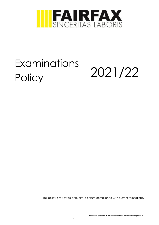

# Examinations Examinations 2021/22

This policy is reviewed annually to ensure compliance with current regulations.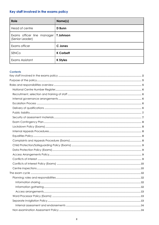# <span id="page-1-0"></span>Key staff involved in the exams policy

| Role                                          | Name(s)          |
|-----------------------------------------------|------------------|
| Head of centre                                | <b>D</b> Bunn    |
| Exams officer line manager<br>(Senior Leader) | <b>T</b> Johnson |
| Exams officer                                 | C Jones          |
| SENCo                                         | <b>K Corbett</b> |
| Exams Assistant                               | <b>K Styles</b>  |

#### **Contents**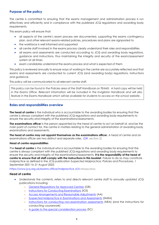## <span id="page-4-0"></span>**Purpose of the policy**

The centre is committed to ensuring that the exams management and administration process is run effectively and efficiently and in compliance with the published JCQ regulations and awarding body requirements.

This exam policy will ensure that:

- all aspects of the centre's exam process are documented, supporting the exams contingency plan, and other relevant exams-related policies, procedures and plans are signposted to
- the workforce is well informed and supported
- all centre staff involved in the exams process clearly understand their roles and responsibilities
- all exams and assessments are conducted according to JCQ and awarding body regulations, guidance and instructions, thus maintaining the integrity and security of the exam/assessment system at all times
- exam candidates understand the exams process and what is expected of them

This policy is reviewed annually to ensure ways of working in the centre are accurately reflected and that exams and assessments are conducted to current JCQ (and awarding body) regulations, instructions and guidance.

This policy will be communicated to all relevant centre staff.

*This policy can be found in the Policies area of the Staff Handbook on TEAMS. A hard copy will be held in the Exams Office. Relevant information will be included in the Invigilator Handbook and will also feature in the Exams Handbook which will be available for students to access on the school website*.

## <span id="page-4-1"></span>**Roles and responsibilities overview**

**The head of centre** is the individual who is accountable to the awarding bodies for ensuring that the centre is always compliant with the published JCQ regulations and awarding body requirements to ensure the security and integrity of the examinations/assessments.

**The examinations officer** is the person appointed by the head of centre to act on behalf of, and be the main point of contact for, the centre in matters relating to the general administration of awarding body examinations and assessments.

**The head of centre may not appoint themselves as the examinations officer.** A head of centre and an examinations officer are two distinct and separate roles. [\(GR,](http://www.jcq.org.uk/exams-office/general-regulations) section 2)

#### **Head of centre responsibilities**

The **head of centre** is the individual who is accountable to the awarding bodies for ensuring that the centre is always compliant with the published JCQ regulations and awarding body requirements to ensure the security and integrity of the examinations/assessments. **It is the responsibility of the head of centre to ensure that all staff comply with the instructions in this booklet**. Failure to do so may constitute malpractice as defined in the JCQ publication *Suspected Malpractice: Policies and Procedures, 1 September 2021 to 31 August 2022:* 

<https://www.jcq.org.uk/exams-office/malpractice> ([ICE](http://www.jcq.org.uk/exams-office/ice---instructions-for-conducting-examinations) Introduction)

## **Head of centre**

- Understands the contents, refers to and directs relevant centre staff to annually updated JCQ publications including:
	- o [General Regulations for Approved Centres](http://www.jcq.org.uk/exams-office/general-regulations) (GR)
	- o [Instructions for Conducting Examinations](http://www.jcq.org.uk/exams-office/ice---instructions-for-conducting-examinations) (ICE)
	- o [Access Arrangements and Reasonable Adjustments](http://www.jcq.org.uk/exams-office/access-arrangements-and-special-consideration/regulations-and-guidance) (AA)
	- o [Suspected Malpractice in Examinations and Assessments](http://www.jcq.org.uk/exams-office/malpractice) (SMEA)
	- o [Instructions for conducting non-examination assessments](http://www.jcq.org.uk/exams-office/non-examination-assessments) (NEA) (and the instructions for conducting coursework)
	- o [A guide to the special consideration process](http://www.jcq.org.uk/exams-office/access-arrangements-and-special-consideration/regulations-and-guidance) (SC)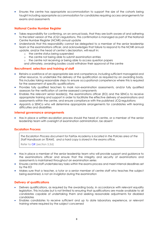• Ensures the centre has appropriate accommodation to support the size of the cohorts being taught including appropriate accommodation for candidates requiring access arrangements for exams and assessments

## <span id="page-5-0"></span>**National Centre Number Register**

- Takes responsibility for confirming, on an annual basis, that they are both aware of and adhering to the latest version of the JCQ's regulations. This confirmation is managed as part of the National Centre Number Register (NCNR) annual update
- Understands that this responsibility cannot be delegated to a member of the senior leadership team or the examinations officer, and acknowledges that failure to respond to the NCNR annual update, and/or the head of centre's declaration, will result in:
	- o the centre status being suspended
	- o the centre not being able to submit examination entries
	- o the centre not receiving or being able to access question papers and ultimately, awarding bodies could withdraw their approval of the centre

## <span id="page-5-1"></span>**Recruitment, selection and training of staff**

- Retains a workforce of an appropriate size and competence, including sufficient managerial and other resource, to undertake the delivery of the qualification as required by an awarding body. This includes taking reasonable steps to ensure occupational competence where this is required for the assessment of specific qualifications
- Provides fully qualified teachers to mark non-examination assessments, and/or fully qualified assessors for the verification of centre-assessed components
- Enables the relevant senior leader(s), the examinations officer (EO) and the SENCo to receive appropriate training and support in order to facilitate the effective delivery of examinations and assessments within the centre, and ensure compliance with the published JCQ regulations
- Appoints a SENCo who will determine appropriate arrangements for candidates with learning difficulties and disabilities

## <span id="page-5-2"></span>**Internal governance arrangements**

• Has in place a written escalation process should the head of centre, or a member of the senior leadership team with oversight of examination administration, be absent

## <span id="page-5-3"></span>**Escalation Process**

*The Escalation Process document for Fairfax Academy is located in the Policies area of the Staff Handbook on TEAMS. and a hard copy is stored in the exams office.*

Refer to [GR](http://www.jcq.org.uk/exams-office/general-regulations) (section 5.3d)

- Has in place a member of the senior leadership team who will provide support and guidance to the examinations officer and ensure that the integrity and security of examinations and assessments is maintained throughout an examination series
- Ensures centre staff undertake key tasks within the exams process and meet internal deadlines set by the EO
- Makes sure that a teacher, a tutor or a senior member of centre staff who teaches the subject being examined, is not an invigilator during the examination

## <span id="page-5-4"></span>**Delivery of qualifications**

- Delivers qualifications, as required by the awarding body, in accordance with relevant equality legislation. This includes but is not limited to ensuring that qualifications are made available to all candidates capable of undertaking them and seeking reasonable adjustments for disabled candidates
- Enables candidates to receive sufficient and up to date laboratory experience, or relevant training where required by the subject concerned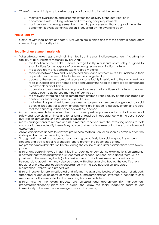- Where/if using a third party to deliver any part of a qualification at the centre:
	- o maintains oversight of, and responsibility for, the delivery of the qualification in accordance with JCQ regulations and awarding body requirements
	- o has in place a written agreement with the third party ensuring that a copy of the written agreement is available for inspection if requested by the awarding body

## <span id="page-6-0"></span>**Public liability**

• Complies with local health and safety rules which are in place and that the centre is adequately covered for public liability claims

## <span id="page-6-1"></span>**Security of assessment materials**

- Takes all reasonable steps to maintain the integrity of the examinations/assessments, including the security of all assessment materials, by ensuring:
	- o the location of the centre's secure storage facility in a secure room solely assigned to examinations for the purpose of administering secure examination materials
	- o the secure room only contains exam-related material
	- o there are between two and six keyholders only, each of whom must fully understand their responsibilities as a key holder to the secure storage facility
	- o access to the secure room and secure storage facility is restricted to the authorised two to six keyholders and staff named and approved by the head of centre are accompanied by a keyholder at all times
	- o appropriate arrangements are in place to ensure that confidential materials are only handed over to authorised members of centre staff
	- o the relevant awarding body is immediately informed if the security of question papers or confidential supporting instructions is put at risk
	- o that when it is permitted to remove question papers from secure storage, and to avoid potential breaches of security, arrangements are in place to carefully check and record that the correct question paper packets are opened
- Makes arrangements to receive, check and store question papers and examination material safely and securely at all times and for as long as required in accordance with the current JCQ publication *Instructions for conducting examinations*
- Makes arrangements to receive and issue material received from the awarding bodies to staff and candidates, and notify them of any advice and instructions relevant to the examinations and assessments
- Allows candidates access to relevant pre-release materials on, or as soon as possible after, the date specified by the awarding bodies
- Through taking an ethical approach and working proactively to avoid malpractice among students and staff takes all reasonable steps to prevent the occurrence of any malpractice/maladministration before, during the course of and after examinations have taken place
- Ensures any person involved in administering, teaching or completing examinations/assessments is advised that where malpractice is suspected, or alleged, personal data about them will be provided to the awarding body (or bodies) whose examinations/assessments are involved. Personal data about them may also be shared with other awarding bodies, the qualifications regulator or professional bodies in accordance with the JCQ publication *Suspected malpractice – Policies and procedures*
- Ensures irregularities are investigated and informs the awarding bodies of any cases of alleged, suspected or actual incidents of malpractice or maladministration, involving a candidate or a member of staff, are reported to the awarding body immediately
- Ensures risks to the exam process are assessed and appropriate risk management processes/contingency plans are in place (that allow the senior leadership team to act immediately in the event of an emergency or staff absence)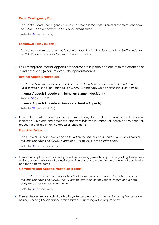## <span id="page-7-0"></span>**Exam Contingency Plan**

*The centre's exam contingency plan can be found in the Policies area of the Staff Handbook on TEAMS. A hard copy will be held in the exams office.*

Refer to [GR](http://www.jcq.org.uk/exams-office/general-regulations) (section 5.3x)

## <span id="page-7-1"></span>**Lockdown Policy (Exams)**

*The centre's exam Lockdown policy can be found in the Policies area of the Staff Handbook on TEAMS. A hard copy will be held in the exams office.*

• Ensures required internal appeals procedures are in place and drawn to the attention of candidates and (where relevant) their parents/carers

## <span id="page-7-2"></span>**Internal Appeals Procedures**

*The Centre's internal appeals procedure can be found on the school website and in the Policies area of the Staff Handbook on TEAMS. A hard copy will be held in the exams office.*

#### **Internal Appeals Procedure (Internal assessment decisions)**

Refer to [GR](http://www.jcq.org.uk/exams-office/general-regulations) (section 5.7f)

#### **Internal Appeals Procedure (Reviews of Results/Appeals)**

Refer to [GR](http://www.jcq.org.uk/exams-office/general-regulations) (section 5.13h)

• Ensures the centre's Equalities policy demonstrating the centre's compliance with relevant legislation is in place and details the processes followed in respect of identifying the need for, requesting and implementing access arrangements

## <span id="page-7-3"></span>**Equalities Policy**

*The Centre's Equalities policy can be found on the school website and in the Policies area of the Staff Handbook on TEAMS. A hard copy will be held in the exams office.*

Refer to [GR](http://www.jcq.org.uk/exams-office/general-regulations) (sections 5.3x, 5.4)

• Ensures a complaints and appeals procedure covering general complaints regarding the centre's delivery or administration of a qualification is in place and drawn to the attention of candidates and their parents/carers

## <span id="page-7-4"></span>**Complaints and Appeals Procedure (Exams)**

*The centre's complaints and appeals policy for exams can be found in the Policies area of the Staff Handbook on TEAMS. This will also be available on the school website and a hard copy will be held in the exams office.*

Refer to [GR](http://www.jcq.org.uk/exams-office/general-regulations) (section 5.8e)

• Ensures the centre has a child protection/safeguarding policy in place, including Disclosure and Barring Service (DBS) clearance, which satisfies current legislative requirements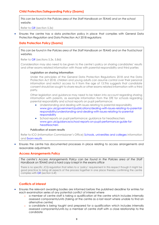## <span id="page-8-0"></span>**Child Protection/Safeguarding Policy (Exams)**

*This can be found in the Policies area of the Staff Handbook on TEAMS and on the school website.*

Refer to [GR](http://www.jcq.org.uk/exams-office/general-regulations) (section 5.3x)

• Ensures the centre has a data protection policy in place that complies with General Data Protection Regulation and Data Protection Act 2018 regulations

## <span id="page-8-1"></span>**Data Protection Policy (Exams)**

*This can be found in the Policies area of the Staff Handbook on TEAMS and on the Trust/school websites.*

Refer to [GR](http://www.jcq.org.uk/exams-office/general-regulations) (sections 5.3x, 5.8d)

Consideration may also need to be given to the centre's policy on sharing candidates' results and other exams related information with those with parental responsibility and third parties

#### **Legislation on sharing information**

Under the principles of the General Data Protection Regulations 2018 and the Data Protection Act 2018, children and young adults can assume control over their personal information and restrict access to it from the age of 13.This suggests that candidate consent should be sought to share results or other exams-related information with a third party.

Other legislation and guidance may need to be taken into account regarding sharing information with parents, as example information from the DfE for schools regarding parental responsibility and school reports on pupil performance:

- Understanding and dealing with issues relating to parental responsibility [www.gov.uk/government/publications/dealing-with-issues-relating-to-parental](https://www.gov.uk/government/publications/dealing-with-issues-relating-to-parental-responsibility/understanding-and-dealing-with-issues-relating-to-parental-responsibility)[responsibility/understanding-and-dealing-with-issues-relating-to-parental](https://www.gov.uk/government/publications/dealing-with-issues-relating-to-parental-responsibility/understanding-and-dealing-with-issues-relating-to-parental-responsibility)[responsibility](https://www.gov.uk/government/publications/dealing-with-issues-relating-to-parental-responsibility/understanding-and-dealing-with-issues-relating-to-parental-responsibility)
- School reports on pupil performance: guidance for headteachers [www.gov.uk/guidance/school-reports-on-pupil-performance-guide-for](https://www.gov.uk/guidance/school-reports-on-pupil-performance-guide-for-headteachers)[headteachers](https://www.gov.uk/guidance/school-reports-on-pupil-performance-guide-for-headteachers)

#### **Publication of exam results**

Refer to ICO (Information Commissioner's Office) [Schools, universities and colleges](https://ico.org.uk/your-data-matters/schools/) information and [Exam results](https://ico.org.uk/your-data-matters/schools/exam-results/)

<span id="page-8-2"></span>• Ensures the centre has documented processes in place relating to access arrangements and reasonable adjustments

## **Access Arrangements Policy**

*The centre's Access Arrangements Policy can be found in the Policies area of the Staff Handbook on TEAMS and a hard copy is kept in the exams office*

There is no specific JCQ regulation that refers to a 'policy' requirement in this respect though it might be good practice to bring all aspects of the process together in one place thereby confirming the centre complies wit[h GR](http://www.jcq.org.uk/exams-office/general-regulations) (section 5.4f)

## **Conflicts of interest**

- <span id="page-8-3"></span>• Ensures the relevant awarding bodies are informed before the published deadline for entries for each examination series of any potential conflict of interest where
	- o a member of centre staff is taking a qualification at the centre which includes internally assessed components/units (taking at the centre as a last resort where unable to find an alternative centre)
	- o a candidate is being taught and prepared for a qualification which includes internally assessed components/units by a member of centre staff with a close relationship to the candidate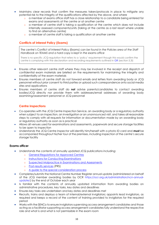- Maintains clear records that confirm the measures taken/protocols in place to mitigate any potential risk to the integrity of the qualifications affected by the above, and where
	- o a member of exams office staff has a close relationship to a candidate being entered for exams and assessments at the centre or at another centre
	- o a member of centre staff is taking a qualification at the centre which does not include internally assessed components/units (taking at the centre as a last resort where unable to find an alternative centre)
	- o a member of centre staff is taking a qualification at another centre

## <span id="page-9-0"></span>**Conflicts of Interest Policy (Exams)**

The centre's Conflict of Interest Policy (Exams) c*an be found in the Policies area of the Staff Handbook on TEAMS and a hard copy is kept in the exams office*

There is no specific JCQ regulation that refers to a 'policy' requirement though this would confirm the centre is complying with the declaration and recording requirements outlined in [GR](http://www.jcq.org.uk/exams-office/general-regulations) (section 5.3i)

- Ensures other relevant centre staff where they may be involved in the receipt and dispatch of confidential exam materials are briefed on the requirements for maintaining the integrity and confidentiality of the exam materials
- Ensures members of centre staff do not forward emails and letters from awarding body or JCQ personnel without prior consent to third parties or upload such correspondence onto social media sites and applications
- Ensures members of centre staff do **not** advise parents/candidates to contact awarding bodies/JCQ directly nor provide them with addresses/email addresses of awarding body examining/assessment personnel or JCQ personnel

## **Centre inspections**

- <span id="page-9-1"></span>• Co-operates with the JCQ Centre Inspection Service, an awarding body or a regulatory authority when subject to an inspection, an investigation or an unannounced visit, and takes all reasonable steps to comply with all requests for information or documentation made by an awarding body or regulatory authority as soon as is practical
- Allows all venues used for examinations and assessments, paperwork and secure storage facilities to be open to inspection
- Understands the JCQ Centre Inspector will identify him/herself with a photo ID card and **must** be accompanied throughout his/her tour of the premises, including inspection of the centre's secure storage facility

## **Exams officer**

- Understands the contents of annually updated JCQ publications including:
	- o [General Regulations for Approved Centres](http://www.jcq.org.uk/exams-office/general-regulations)
	- o [Instructions for Conducting Examinations](http://www.jcq.org.uk/exams-office/ice---instructions-for-conducting-examinations)
	- o [Suspected Malpractice in Examinations and Assessments](http://www.jcq.org.uk/exams-office/malpractice)
	- o [Post-results services](http://www.jcq.org.uk/exams-office/post-results-services) (PRS)
	- o [A guide to the special consideration process](https://www.jcq.org.uk/exams-office/access-arrangements-and-special-consideration/regulations-and-guidance/)
- Completes/submits the National Centre Number Register annual update (administered on behalf of the JCQ member awarding bodies by OCR [https://ocr.org.uk/administration/ncn-annual](https://ocr.org.uk/administration/ncn-annual-update/)[update/\)](https://ocr.org.uk/administration/ncn-annual-update/) by the end of October each year
- Is familiar with the contents of annually updated information from awarding bodies on administrative procedures, key tasks, key dates and deadlines
- Ensures key tasks are undertaken and key dates and deadlines met
- Recruits, trains and deploys a team of internal/external invigilators; appoints lead invigilators, as required and keeps a record of the content of training provided to invigilators for the required period
- Works with the SENCo to ensure invigilators supervising access arrangement candidates and those acting as a facilitator supporting access arrangement candidates fully understand the respective role and what is and what is not permissible in the exam room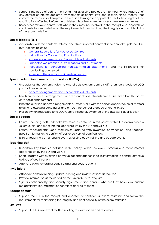- Supports the head of centre in ensuring that awarding bodies are informed (where required) of any conflict of interest declared by members of centre staff and in maintaining records that confirm the measures taken/protocols in place to mitigate any potential risk to the integrity of the qualifications affected before the published deadline for entries for each examination series
- Briefs other relevant centre staff where they may be involved in the receipt and dispatch of confidential exam materials on the requirements for maintaining the integrity and confidentiality of the exam materials

## **Senior leaders (SLT)**

- Are familiar with the contents, refer to and direct relevant centre staff to annually updated JCQ publications including:
	- o [General Regulations for Approved Centres](http://www.jcq.org.uk/exams-office/general-regulations)
	- o [Instructions for Conducting Examinations](http://www.jcq.org.uk/exams-office/ice---instructions-for-conducting-examinations)
	- o [Access Arrangements and Reasonable Adjustments](http://www.jcq.org.uk/exams-office/access-arrangements-and-special-consideration/regulations-and-guidance)
	- o [Suspected Malpractice in Examinations and Assessments](http://www.jcq.org.uk/exams-office/malpractice)
	- o [Instructions for conducting non-examination assessments](http://www.jcq.org.uk/exams-office/non-examination-assessments) (and the instructions for conducting coursework)
	- o [A guide to the special consideration process](http://www.jcq.org.uk/exams-office/access-arrangements-and-special-consideration/regulations-and-guidance)

## **Special educational needs co-ordinator (SENCo)**

- Understands the contents, refers to and directs relevant centre staff to annually updated JCQ publications including:
	- o [Access Arrangements and Reasonable Adjustments](http://www.jcq.org.uk/exams-office/access-arrangements-and-special-consideration/regulations-and-guidance)
- Leads on the access arrangements and reasonable adjustments process (referred to in this policy as 'access arrangements')
- If not the qualified access arrangements assessor, works with the person appointed, on all matters relating to assessing candidates and ensures the correct procedures are followed
- Presents when requested by a JCQ Centre Inspector, evidence of the assessor's qualification

## **Senior Leaders**

- Ensures teaching staff undertake key tasks, as detailed in this policy, within the exams process (exam cycle) and meet internal deadlines set by the EO and SENCo
- Ensures teaching staff keep themselves updated with awarding body subject and teacherspecific information to confirm effective delivery of qualifications
- Ensures teaching staff attend relevant awarding body training and update events

## **Teaching staff**

- Undertake key tasks, as detailed in this policy, within the exams process and meet internal deadlines set by the EO and SENCo
- Keep updated with awarding body subject and teacher-specific information to confirm effective delivery of qualifications
- Attend relevant awarding body training and update events

## **Invigilators**

- Attend/undertake training, update, briefing and review sessions as required
- Provide information as requested on their availability to invigilate
- Sign a confidentiality and security agreement and confirm whether they have any current maladministration/malpractice sanctions applied to them

## **Reception staff**

• Support the EO in the receipt and dispatch of confidential exam materials and follow the requirements for maintaining the integrity and confidentiality of the exam materials

## **Site staff**

• Support the EO in relevant matters relating to exam rooms and resources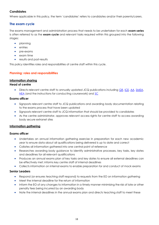## **Candidates**

Where applicable in this policy, the term 'candidates' refers to candidates and/or their parents/carers.

## <span id="page-11-0"></span>**The exam cycle**

The exams management and administration process that needs to be undertaken for each **exam series** is often referred to as the **exam cycle** and relevant tasks required within this grouped into the following stages:

- planning
- entries
- pre-exams
- exam time
- results and post-results

This policy identifies roles and responsibilities of centre staff within this cycle.

## <span id="page-11-1"></span>**Planning: roles and responsibilities**

## <span id="page-11-2"></span>**Information sharing**

## **Head of centre**

• Directs relevant centre staff to annually updated JCQ publications including [GR,](http://www.jcq.org.uk/exams-office/general-regulations) [ICE,](http://www.jcq.org.uk/exams-office/ice---instructions-for-conducting-examinations) [AA,](http://www.jcq.org.uk/exams-office/access-arrangements-and-special-consideration) [SMEA,](http://www.jcq.org.uk/exams-office/malpractice) [NEA](http://www.jcq.org.uk/exams-office/non-examination-assessments) (and the instructions for conducting coursework) and [SC](http://www.jcq.org.uk/exams-office/access-arrangements-and-special-consideration/regulations-and-guidance)

## **Exams officer**

- Signposts relevant centre staff to JCQ publications and awarding body documentation relating to the exams process that have been updated
- Signposts relevant centre staff to JCQ information that should be provided to candidates
- As the centre administrator, approves relevant access rights for centre staff to access awarding body secure extranet sites

## <span id="page-11-3"></span>**Information gathering**

## **Exams officer**

- Undertakes an annual information gathering exercise in preparation for each new academic year to ensure data about all qualifications being delivered is up to date and correct
- Collates all information gathered into one central point of reference
- Researches awarding body guidance to identify administrative processes, key tasks, key dates and deadlines for all relevant qualifications
- Produces an annual exams plan of key tasks and key dates to ensure all external deadlines can be effectively met; informs key centre staff of internal deadlines
- Collects information on internal exams to enable preparation for and conduct of mock exams

## **Senior Leaders**

- Respond (or ensures teaching staff respond) to requests from the EO on information gathering
- Meet the internal deadline for the return of information
- Inform the EO of any changes to information in a timely manner minimising the risk of late or other penalty fees being incurred by an awarding body
- Note the internal deadlines in the annual exams plan and directs teaching staff to meet these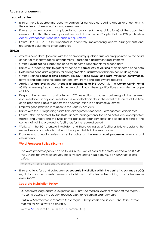## <span id="page-12-0"></span>**Access arrangements**

## **Head of centre**

- Ensures there is appropriate accommodation for candidates requiring access arrangements in the centre for all examinations and assessments
- Ensures a written process is in place to not only check the qualification(s) of the appointed assessor(s) but that the correct procedures are followed as per Chapter 7 of the JCQ publication [Access Arrangements and Reasonable Adjustments](http://www.jcq.org.uk/exams-office/access-arrangements-and-special-consideration/regulations-and-guidance)
- Ensures the SENCo is fully supported in effectively implementing access arrangements and reasonable adjustments once approved

## **SENCo**

- Assesses candidates (or works with the appropriately qualified assessor as appointed by the head of centre) to identify access arrangements/reasonable adjustments requirements
- Gathers **evidence** to support the need for access arrangements for a candidate
- Liaises with teaching staff to gather evidence of **normal way of working** of an affected candidate
- Determines candidate eligibility for arrangements or adjustments that are centre-delegated
- Gathers signed **Personal data consent, Privacy Notice (AAO) and Data Protection confirmation** forms (candidate personal data consent form) from candidates where required
- Applies for **approval** through **Access arrangements online** (AAO) via the **Centre Admin Portal** (CAP), where required or through the awarding body where qualifications sit outside the scope of AAO
- Keeps a file for each candidate for JCQ inspection purposes containing all the required documentation (if any documentation is kept electronically, in the event of IT failure at the time of an inspection is able to access this documentation in an alternative format)
- Employs good practice in relation to the Equality Act 2010
- Liaises with the EO regarding exam time arrangements for access arrangement candidates
- Ensures staff appointed to facilitate access arrangements for candidates are appropriately trained and understand the rules of the particular arrangement(s) and keeps a record of the content of training provided to facilitators for the required period
- Works with the EO to ensure invigilators and those acting as a facilitator fully understand the respective role and what is and what is not permissible in the exam room
- <span id="page-12-1"></span>• Provides and annually reviews a centre policy on the **use of word processors** in exams and assessments

## **Word Processor Policy (Exams)**

*The word processor policy can be found in the Policies area of the Staff Handbook on TEAMS. This will also be available on the school website and a hard copy will be held in the exams office.*

Refer to [GR](http://www.jcq.org.uk/exams-office/general-regulations) (section 5.3x) and [AA](http://www.jcq.org.uk/exams-office/access-arrangements-and-special-consideration) (section 5.8.4)

• Ensures criteria for candidates granted **separate invigilation within the centre** is clear, meets JCQ regulations and best meets the needs of individual candidates and remaining candidates in main exam rooms

## <span id="page-12-2"></span>**Separate Invigilation Policy**

*Students requiring separate invigilation must provide medical evident to support the request. The same applies if the student requests alternative seating arrangements.* 

*Fairfax will endeavour to facilitate these requests but parents and students should be aware that this will not always be possible.* 

Refer to [AA](http://www.jcq.org.uk/exams-office/access-arrangements-and-special-consideration) (sections 4.2.1, 5.16) and [ICE](http://www.jcq.org.uk/exams-office/ice---instructions-for-conducting-examinations) (section 14.18)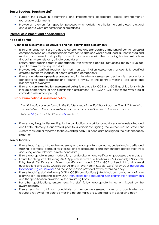## **Senior Leaders, Teaching staff**

- Support the SENCo in determining and implementing appropriate access arrangements/ reasonable adjustments
- Provide a statement for inspection purposes which details the criteria the centre uses to award and allocate word processors for examinations

## <span id="page-13-0"></span>**Internal assessment and endorsements**

## **Head of centre**

#### **Controlled assessments, coursework and non-examination assessments**

- Ensures arrangements are in place to co-ordinate and standardise all marking of centre- assessed components and ensures that candidates' centre-assessed work is produced, authenticated and marked, or assessed and quality assured in accordance with the awarding bodies' instructions (including where relevant, private candidates)
- Ensures that teaching staff, in accordance with awarding bodies' instructions, return all subjectspecific forms by the required date
- Provides fully qualified teachers to mark non-examination assessments, and/or fully qualified assessors for the verification of centre-assessed components
- Ensures an **internal appeals procedure** relating to internal assessment decisions is in place for a candidate to appeal against and request a review of the centre's marking (see Roles and responsibilities overview)
- Ensures a **non-examination assessment policy** is in place for GCE and GCSE qualifications which include components of non-examination assessment (For CCEA GCSE centres this would be a controlled assessment policy)

## <span id="page-13-1"></span>**Non-examination Assessment Policy**

*The NEA policy can be found in the Policies area of the Staff Handbook on TEAMS. This will also be available on the school website and a hard copy will be held in the exams office.* 

Refer to [GR](http://www.jcq.org.uk/exams-office/general-regulations) (sections 5.3x, 5.7) and [NEA](https://www.jcq.org.uk/exams-office/non-examination-assessments) (section 1)

• Ensures any irregularities relating to the production of work by candidates are investigated and dealt with internally if discovered prior to a candidate signing the authentication statement (where required) or reported to the awarding body if a candidate has signed the authentication statement

## **Senior leaders**

- Ensure teaching staff have the necessary and appropriate knowledge, understanding, skills, and training to set tasks, conduct task taking, and to assess, mark and authenticate candidates' work (including where relevant, private candidates)
- Ensure appropriate internal moderation, standardisation and verification processes are in place
- Ensure teaching staff delivering AQA Applied General qualifications, OCR Cambridge Nationals, Entry Level Certificate or Project qualifications (and CCEA GCE unitised AS and A-level qualifications and WJEC GCE legacy AS and A-level Health & Social Care) follow JCQ [Instructions](http://www.jcq.org.uk/exams-office/coursework)  [for conducting coursework](http://www.jcq.org.uk/exams-office/coursework) and the specification provided by the awarding body
- Ensure teaching staff delivering GCE & GCSE specifications (which include components of nonexamination assessment) follow JCQ [Instructions for conducting non-examination assessments](http://www.jcq.org.uk/exams-office/non-examination-assessments) and the specification provided by the awarding body
- For other qualifications, ensure teaching staff follow appropriate instructions issued by the awarding body
- Ensure teaching staff inform candidates of their centre assessed marks as a candidate may request a review of the centre's marking before marks are submitted to the awarding body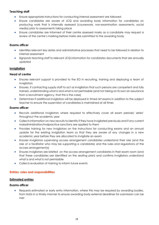## **Teaching staff**

- Ensure appropriate instructions for conducting internal assessment are followed
- Ensure candidates are aware of JCQ and awarding body information for candidates on producing work that is internally assessed (coursework, non-examination assessments, social media) prior to assessments taking place
- Ensure candidates are informed of their centre assessed marks as a candidate may request a review of the centre's marking before marks are submitted to the awarding body

## **Exams officer**

- Identifies relevant key dates and administrative processes that need to be followed in relation to internal assessment
- Signposts teaching staff to relevant JCQ *information for candidates* documents that are annually updated

## <span id="page-14-0"></span>**Invigilation**

## **Head of centre**

- Ensures relevant support is provided to the EO in recruiting, training and deploying a team of invigilators
- Ensures, if contracting supply staff to act as invigilators that such persons are competent and fully trained, understanding what is and what is not permissible (and not taking on its own an assurance from a recruitment agency, that this is the case)
- Determines if additional invigilators will be deployed in timed Art exams in addition to the subject teacher to ensure the supervision of candidates is maintained at all times

## **Exams officer**

- Recruits additional invigilators where required to effectively cover all exam periods/ series' throughout the academic year
- Collects information on new recruits to identify if they have invigilated previously and if any current maladministration/malpractice sanctions are applied to them
- Provides training for new invigilators on the instructions for conducting exams and an annual update for the existing invigilation team so that they are aware of any changes in a new academic year before they are allocated to invigilate an exam
- Ensures invigilators supervising access arrangement candidates understand their role (and the role of a facilitator who may be supporting a candidate) and the rules and regulations of the access arrangement(s)
- Ensures invigilators are briefed on the access arrangement candidates in their exam room (and that these candidates are identified on the seating plan) and confirms invigilators understand what is and what is not permissible
- Collects evaluation of training to inform future events

## <span id="page-14-1"></span>**Entries: roles and responsibilities**

## <span id="page-14-2"></span>**Estimated entries**

## **Exams officer**

• Requests estimated or early entry information, where this may be required by awarding bodies, from HoDs in a timely manner to ensure awarding body external deadlines for submission can be met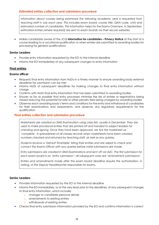## <span id="page-15-0"></span>**Estimated entries collection and submission procedure**

*Information about courses being examined the following academic year is requested from teaching staff in July each year. This includes exam board, course title, QAN code, units and estimated number of candidates. This information helps for the Exams Overview. In September, estimated entries (where required) are sent to exam boards via their secure websites.* 

• Makes candidates aware of the JCQ **Information for candidates – Privacy Notice** at the start of a course leading to a vocational qualification or when entries are submitted to awarding bodies for processing for general qualifications

## **Senior Leaders**

- Provide entry information requested by the EO to the internal deadline
- Informs the EO immediately of any subsequent changes to entry information

## <span id="page-15-1"></span>**Final entries**

#### **Exams officer**

- Requests final entry information from HoDs in a timely manner to ensure awarding body external deadlines for submission can be met
- Informs HoDs of subsequent deadlines for making changes to final entry information without charge
- Confirms with HoDs final entry information that has been submitted to awarding bodies
- Ensures as far as possible that entry processes minimise the risk of entries or registrations being missed reducing the potential for late or other penalty fees being charged by awarding bodies
- Observes each awarding body's terms and conditions for the entry and withdrawal of candidates for their examinations and assessments, and observes any regulatory requirements for the qualification

## <span id="page-15-2"></span>**Final entries collection and submission procedure**

*Marksheets are created on SIMS Examination using class lists, usually in December. They are used to make provisional entries that are printed off and handed to subject leaders for checking and signing. Once they have been approved, we tick the marksheet as 'complete'. A spreadsheet of all classes records when marksheets have been created, numbers checked and returned by teaching staff, as well as any queries.* 

*Students receive a 'Default Timetable' listing their entries and are asked to check and contact the Exams Officer with any queries before initial submissions are made.*

*Entry submissions are created in SIMS Examinations and sent off via A2C. The first submission for each exam board is an 'entry submission'; all subsequent ones are 'amendment submissions'.*

*Entries and amendments made after the exam board deadline require the authorisation, in writing, of the Deputy Headteacher responsible for exams.*

## **Senior Leaders**

- Provides information requested by the EO to the internal deadline
- Informs the EO immediately, or at the very least prior to the deadlines, of any subsequent changes to final entry information, which includes
	- o changes to candidate personal details
	- o amendments to existing entries
	- o withdrawals of existing entries
- Checks final entry submission information provided by the EO and confirms information is correct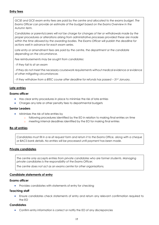## <span id="page-16-0"></span>**Entry fees**

GCSE and GCE exam entry fees are paid by the centre and allocated to the exams budget. The *Exams Officer can provide an estimate of the budget based on the Exams Overview in the Autumn term.* 

*Candidates or parents/carers will not be charge for changes of tier or withdrawals made by the proper procedures or alterations arising from administrative processes provided these are made within the time allowed by the awarding bodies. The Exams Officer will publish the deadline for actions well in advance for each exam series.* 

Late entry or amendment fees are paid by the centre, the department or the candidate *depending on the circumstance.* 

*Fee reimbursements may be sought from candidates:*

*- If they fail to sit an exam*

*- If they do not meet the necessary coursework requirements without medical evidence or evidence of other mitigating circumstances*

*- If they withdraw from a BTEC course after deadline for refunds has passed – 31st January.* 

## <span id="page-16-1"></span>**Late entries**

#### **Exams officer**

- Has clear entry procedures in place to minimise the risk of late entries
- Charges any late or other penalty fees to departmental budgets

#### **Senior Leaders**

- Minimises the risk of late entries by
	- following procedures identified by the EO in relation to making final entries on time
	- o meeting internal deadlines identified by the EO for making final entries

## <span id="page-16-2"></span>**Re-sit entries**

*Candidates must fill in a re-sit request form and return it to the Exams Office, along with a cheque or BACS bank details. No entries will be processed until payment has been made.*

## <span id="page-16-3"></span>**Private candidates**

*The centre only accepts entries from private candidates who are former students. Managing private candidates is the responsibility of the Exams Officer.*

*The centre does not act as an exams centre for other organisations.*

## <span id="page-16-4"></span>**Candidate statements of entry**

#### **Exams officer**

• Provides candidates with statements of entry for checking

#### **Teaching staff**

• Ensure candidates check statements of entry and return any relevant confirmation required to the EO

#### **Candidates**

• Confirm entry information is correct or notify the EO of any discrepancies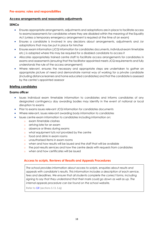## <span id="page-17-1"></span><span id="page-17-0"></span>**Access arrangements and reasonable adjustments**

## **SENCo**

- Ensures appropriate arrangements, adjustments and adaptations are in place to facilitate access to exams/assessments for candidates where they are disabled within the meaning of the Equality Act (unless a temporary emergency arrangement is required at the time of an exam)
- Ensures a candidate is involved in any decisions about arrangements, adjustments and /or adaptations that may be put in place for him/her
- Ensures exam information (JCQ information for candidates documents, individual exam timetable etc.) is adapted where this may be required for a disabled candidate to access it
- Allocates appropriately trained centre staff to facilitate access arrangements for candidates in exams and assessments (ensuring that the facilitator appointed meets JCQ requirements and fully understands the rule of the access arrangement)
- Where relevant, ensures the necessary and appropriate steps are undertaken to gather an appropriate picture of need and demonstrate normal way of working for a private candidate (including distance learners and home educated candidates) and that the candidate is assessed by the centre's appointed assessor

## <span id="page-17-2"></span>**Briefing candidates**

## **Exams officer**

- Issues individual exam timetable information to candidates and informs candidates of any designated contingency day awarding bodies may identify in the event of national or local disruption to exams
- Prior to exams issues relevant JCQ information for candidates documents
- Where relevant, issues relevant awarding body information to candidates
- Issues centre exam information to candidates including information on:
	- o exam timetable clashes
	- o arriving late for an exam
	- o absence or illness during exams
	- o what equipment is/is not provided by the centre
	- o food and drink in exam rooms
	- o unauthorised items in exam rooms
	- o when and how results will be issued and the staff that will be available
	- o the post-results services and how the centre deals with requests from candidates
	- o when and how certificates will be issued

## <span id="page-17-3"></span>**Access to scripts, Reviews of Results and Appeals Procedures**

*The school provides information about access to scripts, enquiries about results and appeals with candidate's results. This information includes a description of each service,*  fees and deadlines. We ensure that all students complete the correct forms, including *signing to say that they understand that their mark could go down as well as up. The internal appeals procedure can be found on the school website.* 

<span id="page-17-4"></span>Refer t[o GR](http://www.jcq.org.uk/exams-office/general-regulations) (sections 5.13, 5.6j)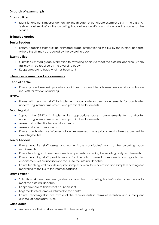## **Dispatch of exam scripts**

## **Exams officer**

• Identifies and confirms arrangements for the dispatch of candidate exam scripts with the DfE (STA) 'yellow label service' or the awarding body where qualifications sit outside the scope of the service

## <span id="page-18-0"></span>**Estimated grades**

## **Senior Leaders**

• Ensures teaching staff provide estimated grade information to the EO by the internal deadline (where this still may be required by the awarding body)

#### **Exams officer**

- Submits estimated grade information to awarding bodies to meet the external deadline (where this may still be required by the awarding body)
- Keeps a record to track what has been sent

## <span id="page-18-1"></span>**Internal assessment and endorsements**

#### **Head of centre**

• Ensures procedures are in place for candidates to appeal internal assessment decisions and make requests for reviews of marking

#### **SENCo**

• Liaises with teaching staff to implement appropriate access arrangements for candidates undertaking internal assessments and practical endorsements

#### **Teaching staff**

- Support the SENCo in implementing appropriate access arrangements for candidates undertaking internal assessments and practical endorsements
- Assess and authenticate candidates' work
- Assess endorsed components
- Ensure candidates are informed of centre assessed marks prior to marks being submitted to awarding bodies

#### **Senior Leaders**

- Ensure teaching staff assess and authenticate candidates' work to the awarding body requirements
- Ensure teaching staff assess endorsed components according to awarding body requirements
- Ensure teaching staff provide marks for internally assessed components and grades for endorsements of qualifications to the EO to the internal deadline
- Ensure teaching staff provide required samples of work for moderation and sample recordings for monitoring to the EO to the internal deadline

#### **Exams officer**

- Submits marks, endorsement grades and samples to awarding bodies/moderators/monitors to meet the external deadline
- Keeps a record to track what has been sent
- Logs moderated samples returned to the centre
- Ensures teaching staff are aware of the requirements in terms of retention and subsequent disposal of candidates' work

## **Candidates**

• Authenticate their work as required by the awarding body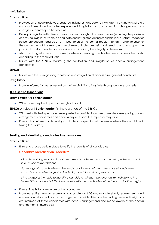## <span id="page-19-0"></span>**Invigilation**

## **Exams officer**

- Provides an annually reviewed/updated invigilator handbook to invigilators, trains new invigilators on appointment and updates experienced invigilators on any regulation changes and any changes to centre-specific processes
- Deploys invigilators effectively to exam rooms throughout an exam series (including the provision of a roving invigilator where a candidate and invigilator [acting as a practical assistant, reader or scribe] are accommodated on a 1:1 basis to enter the room at regular intervals in order to observe the conducting of the exam, ensure all relevant rules are being adhered to and to support the practical assistant/reader and/or scribe in maintaining the integrity of the exam)
- Allocates invigilators to exam rooms (or where supervising candidates due to a timetable clash) according to the required ratios
- Liaises with the SENCo regarding the facilitation and invigilation of access arrangement candidates

## **SENCo**

• Liaises with the EO regarding facilitation and invigilation of access arrangement candidates

## **Invigilators**

• Provide information as requested on their availability to invigilate throughout an exam series

## <span id="page-19-1"></span>**JCQ Centre Inspections**

## **Exams officer** or **Senior leader**

• Will accompany the Inspector throughout a visit

## **SENCo** or relevant **Senior leader** (in the absence of the SENCo)

- Will meet with the inspector when requested to provide documentary evidence regarding access arrangement candidates and address any questions the inspector may raise
- Ensures that information is readily available for inspection at the venue where the candidate is taking the exam(s)

## <span id="page-19-2"></span>**Seating and identifying candidates in exam rooms**

## **Exams officer**

<span id="page-19-3"></span>• Ensures a procedure is in place to verify the identity of all candidates

## **Candidate Identification Procedure**

*All students sitting examinations should already be known to school by being either a current student or a former student.*

*Name tags with candidate number and a photograph of the student are placed on each exam desk to enable invigilators to identify candidates during examinations.* 

*If the invigilator is unable to identify a candidate, this must be reported immediately to the Exams Officer or Head of Centre who will verify the candidate before the examination begins.*

- Ensures invigilators are aware of the procedure
- Provides seating plans for exam rooms according to JCQ and awarding body requirements (and ensures candidates with access arrangements are identified on the seating plan and invigilators are informed of those candidates with access arrangements and made aware of the access arrangement(s) awarded))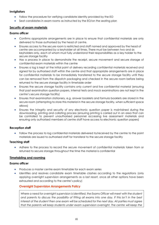## **Invigilators**

- Follow the procedure for verifying candidate identity provided by the EO
- Seat candidates in exam rooms as instructed by the EO/on the seating plan

## <span id="page-20-0"></span>**Security of exam materials**

## **Exams officer**

- Confirms appropriate arrangements are in place to ensure that confidential materials are only delivered to those authorised by the head of centre.
- Ensures access to the secure room is restricted and staff named and approved by the head of centre are accompanied by a keyholder at all times. There must be between two and six keyholders only, each of whom must fully understand their responsibilities as a key holder to the secure storage facility
- Has a process in place to demonstrate the receipt, secure movement and secure storage of confidential exam materials within the centre
- Ensures a log is kept at the initial point of delivery recording confidential materials received and signed for by authorised staff within the centre and that appropriate arrangements are in place for confidential materials to be immediately transferred to the secure storage facility until they can be removed from the dispatch packaging and checked in the secure room before being returned to the secure storage facility in timetable order
- Ensures the secure storage facility contains only current and live confidential material (ensuring that past examination question papers, internal tests and mock examinations are not kept in the centre's secure storage facility)
- Ensures that examination stationery, e.g. answer booklets and formula booklets are stored in the secure room (attempting to store this material in the secure storage facility, when sufficient space allows)
- Ensures the integrity and security of any electronic question paper is maintained during the downloading, printing and collating process (ensuring printing is carried out in an area that can be controlled to prevent unauthorised personnel accessing live assessment materials and ensuring only authorised members of centre staff have access to electronic question papers)

## **Reception staff**

• Follow the process to log confidential materials delivered to/received by the centre to the point materials are issued to authorised staff for transferal to the secure storage facility

## **Teaching staff**

• Adhere to the process to record the secure movement of confidential materials taken from or returned to secure storage throughout the time the material is confidential

## <span id="page-20-1"></span>**Timetabling and rooming**

## **Exams officer**

- Produces a master centre exam timetable for each exam series
- Identifies and resolves candidate exam timetable clashes according to the regulations (only applying overnight supervision arrangements as a last resort, once all other options have been exhausted and according to the centre's policy)

## <span id="page-20-2"></span>**Overnight Supervision Arrangements Policy**

Where a need for overnight supervision is identified, the Exams Officer will meet with the student *and parents to discuss the possibility of fitting all exams into one day. If this isn't in the best interest of the student then one exam will be scheduled for the next day. All parties must agree that the parents will keep students under exam supervision overnight. The centre will keep the*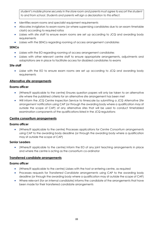*student's mobile phone securely in the store room and parents must agree to escort the student to and from school. Students and parents will sign a declaration to this effect.* 

- Identifies exam rooms and specialist equipment requirements
- Allocates invigilators to exam rooms (or where supervising candidates due to an exam timetable clash) according to required ratios
- Liaises with site staff to ensure exam rooms are set up according to JCQ and awarding body requirements
- Liaises with the SENCo regarding rooming of access arrangement candidates

## **SENCo**

- Liaises with the EO regarding rooming of access arrangement candidates
- Liaises with other relevant centre staff to ensure appropriate arrangements, adjustments and adaptations are in place to facilitate access for disabled candidates to exams

## **Site staff**

• Liaise with the EO to ensure exam rooms are set up according to JCQ and awarding body requirements

## <span id="page-21-0"></span>**Alternative site arrangements**

## **Exams officer**

- (Where/if applicable to the centre) Ensures question papers will only be taken to an alternative site where the published criteria for an alternative site arrangement has been met
- Will inform the JCQ Centre Inspection Service to timescale by submitting a JCQ *Alternative Site arrangement* notification using CAP (or through the awarding body where a qualification may sit outside the scope of CAP) of any alternative sites that will be used to conduct timetabled examination components of the qualifications listed in the JCQ regulations

## <span id="page-21-1"></span>**Centre consortium arrangements**

## **Exams officer**

• (Where/if applicable to the centre) Processes applications for *Centre Consortium arrangements* using CAP to the awarding body deadline (or through the awarding body where a qualification may sit outside the scope of CAP)

## **Senior Leaders**

• (Where/if applicable to the centre) Inform the EO of any joint teaching arrangements in place and where the centre is acting as the consortium co-ordinator

## <span id="page-21-2"></span>**Transferred candidate arrangements**

## **Exams officer**

- (Where/if applicable to the centre) Liaises with the host or entering centre, as required
- Processes requests for *Transferred Candidate arrangements* using CAP to the awarding body deadline (or through the awarding body where a qualification may sit outside the scope of CAP)
- Where relevant (for an internal candidate) informs the candidate of the arrangements that have been made for their transferred candidate arrangements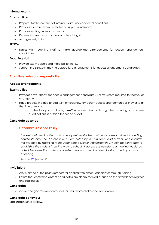## <span id="page-22-0"></span>**Internal exams**

## **Exams officer**

- Prepares for the conduct of internal exams under external conditions
- Provides a centre exam timetable of subjects and rooms
- Provides seating plans for exam rooms
- Requests internal exam papers from teaching staff
- Arranges invigilation

## **SENCo**

• Liaises with teaching staff to make appropriate arrangements for access arrangement candidates

#### **Teaching staff**

- Provide exam papers and materials to the EO
- Support the SENCo in making appropriate arrangements for access arrangement candidates

## <span id="page-22-1"></span>**Exam time: roles and responsibilities**

#### <span id="page-22-2"></span>**Access arrangements**

#### **Exams officer**

- Provides cover sheets for access arrangement candidates' scripts where required for particular arrangements
- Has a process in place to deal with emergency/temporary access arrangements as they arise at the time of exams
	- o applies for approval through AAO where required or through the awarding body where qualifications sit outside the scope of AAO

#### <span id="page-22-4"></span><span id="page-22-3"></span>**Candidate absence**

## **Candidate Absence Policy**

*The Assistant Head of Year and, where possible, the Head of Year are responsible for handling candidate absence. Absent students are noted by the Assistant Head of Year, who confirms the absence by speaking to the Attendance Officer. Parent/carers will then be contacted to establish if the student is on the way to school. If absence is persistent, a meeting would be called between the student, parents/carers and Head of Year to stress the importance of attending.*

Refer to [ICE](http://www.jcq.org.uk/exams-office/ice---instructions-for-conducting-examinations) (section 22)

#### **Invigilators**

- Are informed of the policy/process for dealing with absent candidates through training
- Ensure that confirmed absent candidates are clearly marked as such on the attendance register and seating plan

#### **Candidates**

• Are re-charged relevant entry fees for unauthorised absence from exams

## <span id="page-22-5"></span>**Candidate behaviour**

See *Irregularities* below.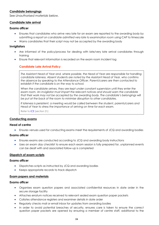## <span id="page-23-0"></span>**Candidate belongings**

See *Unauthorised materials* below.

## <span id="page-23-1"></span>**Candidate late arrival**

## **Exams officer**

- Ensures that candidates who arrive very late for an exam are reported to the awarding body by submitting a *report on candidate admitted very late to examination room* using CAP to timescale
- Warns candidates that their script may not be accepted by the awarding body

#### **Invigilators**

- Are informed of the policy/process for dealing with late/very late arrival candidates through training
- <span id="page-23-2"></span>• Ensure that relevant information is recorded on the exam room incident log

## **Candidate Late Arrival Policy**

*The Assistant Head of Year and, where possible, the Head of Year are responsible for handling candidate lateness. Absent students are noted by the Assistant Head of Year, who confirms the absence by speaking to the Attendance Officer. Parent/carers are then contacted to establish if the candidate is on the way to school.* 

*When the candidate arrives, they are kept under constant supervision until they enter the exam room. An invigilator must impart the relevant notices and should warn the candidate*  that their work may not be accepted by the awarding body. The candidate's belongings will *be put at the back of the room to minimise disruption to other candidates.*

*If lateness is persistent, a meeting would be called between the student, parents/carers and Head of Year to stress the importance of arriving on time for each exam.* 

Refer to [ICE](http://www.jcq.org.uk/exams-office/ice---instructions-for-conducting-examinations) (section 21)

#### <span id="page-23-3"></span>**Conducting exams**

#### **Head of centre**

• Ensures venues used for conducting exams meet the requirements of JCQ and awarding bodies

#### **Exams officer**

- Ensures exams are conducted according to JCQ and awarding body instructions
- Uses an *exam day checklist* to ensure each exam session is fully prepared for, unplanned events can be dealt with and associated follow-up is completed

## <span id="page-23-4"></span>**Dispatch of exam scripts**

#### **Exams officer**

- Dispatches scripts as instructed by JCQ and awarding bodies
- Keeps appropriate records to track dispatch

#### <span id="page-23-5"></span>**Exam papers and materials**

#### **Exams officer**

- Organises exam question papers and associated confidential resources in date order in the secure storage facility
- Attaches erratum notices received to relevant sealed exam question paper packets
- Collates attendance registers and examiner details in date order
- Regularly checks mail or email inbox for updates from awarding bodies
- In order to avoid potential breaches of security, ensures care is taken to ensure the correct question paper packets are opened by ensuring a member of centre staff, additional to the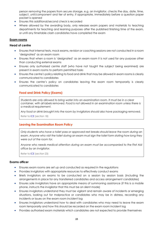person removing the papers from secure storage, e.g. an invigilator, checks the day, date, time, subject, unit/component and tier of entry, if appropriate, immediately before a question paper packet is opened

- Ensures this additional/second check is recorded
- Where allowed by the awarding body, only releases exam papers and materials to teaching departments for teaching and learning purposes after the published finishing time of the exam, or until any timetable clash candidates have completed the exam

## <span id="page-24-0"></span>**Exam rooms**

## **Head of centre**

- Ensures that internal tests, mock exams, revision or coaching sessions are not conducted in a room 'designated' as an exam room
- Ensures that when a room is 'designated' as an exam room it is not used for any purpose other than conducting external exams
- Ensures only authorised centre staff (who have not taught the subject being examined) are present in exam rooms to perform permitted tasks
- Ensures the centre's policy relating to food and drink that may be allowed in exam rooms is clearly communicated to candidates
- <span id="page-24-1"></span>• Ensures the centre's policy on candidates leaving the exam room temporarily is clearly communicated to candidates

## **Food and Drink Policy (Exams)**

*Students are only allowed to bring water into an examination room. It must be in a clear container, with all labels removed. Food is not allowed in an examination room unless there is a medical requirement.* 

*Any food or drink brought into the room by invigilators should also have packaging removed.*  Refer to [ICE](http://www.jcq.org.uk/exams-office/ice---instructions-for-conducting-examinations) (section 18)

## <span id="page-24-2"></span>**Leaving the Examination Room Policy**

*Only students who have a toilet pass or approved rest breaks should leave the room during an exam. Anyone who visit the toilet during an exam must sign the toilet form stating how long they were out of the room for.* 

*Anyone who needs medical attention during an exam must be accompanied to the First Aid office by an invigilator.* 

Refer to [ICE](http://www.jcq.org.uk/exams-office/ice---instructions-for-conducting-examinations) (section 23)

## **Exams officer**

- Ensures exam rooms are set up and conducted as required in the regulations
- Provides invigilators with appropriate resources to effectively conduct exams
- Briefs invigilators on exams to be conducted on a session by session basis (including the arrangements in place for any transferred candidates and access arrangement candidates)
- Ensures sole invigilators have an appropriate means of summoning assistance (if this is a mobile phone, instructs the invigilator that this must be on silent mode)
- Ensures invigilators understand they must be vigilant and remain aware of incidents or emerging situations, looking out for malpractice or candidates who may be in distress, recording any incidents or issues on the exam room incident log
- Ensures invigilators understand how to deal with candidates who may need to leave the exam room temporarily and how this should be recorded on the exam room incident log
- Provides authorised exam materials which candidates are not expected to provide themselves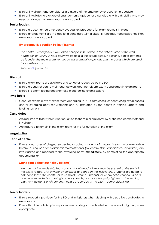- Ensures invigilators and candidates are aware of the emergency evacuation procedure
- Ensures invigilators are aware of arrangements in place for a candidate with a disability who may need assistance if an exam room is evacuated

## **Senior leaders**

- Ensure a documented emergency evacuation procedure for exam rooms is in place
- <span id="page-25-0"></span>• Ensure arrangements are in place for a candidate with a disability who may need assistance if an exam room is evacuated

## **Emergency Evacuation Policy (Exams)**

*The centre's emergency evacuation policy can be found in the Policies area of the Staff Handbook on TEAMS A hard copy will be held in the exams office. Additional copies can also be found in the main exam venues during examination periods and the boxes which are used for satellite rooms.* 

Refer to [ICE](http://www.jcq.org.uk/exams-office/ice---instructions-for-conducting-examinations) (section 25)

## **Site staff**

- Ensure exam rooms are available and set up as requested by the EO
- Ensure grounds or centre maintenance work does not disturb exam candidates in exam rooms
- Ensure fire alarm testing does not take place during exam sessions

## **Invigilators**

• Conduct exams in every exam room according to JCQ *Instructions for conducting examinations* and/or awarding body requirements and as instructed by the centre in training/update and briefing sessions

#### **Candidates**

- Are required to follow the instructions given to them in exam rooms by authorised centre staff and invigilators
- Are required to remain in the exam room for the full duration of the exam

## <span id="page-25-1"></span>**Irregularities**

## **Head of centre**

• Ensures any cases of alleged, suspected or actual incidents of malpractice or maladministration before, during or after examinations/assessments (by centre staff, candidates, invigilators) are investigated and reported to the awarding body **immediately**, by completing the appropriate documentation

## <span id="page-25-2"></span>**Managing Behaviour Policy (Exams)**

*Members of the leadership team and Assistant Heads of Year may be present at the start of the exam to deal with any behaviour issues and support the invigilators. Students are asked to enter and leave the Sports Hall in complete silence. Students for whom behaviour could be a concern are seated accordingly, where possible, and are clearly highlighted on the seating plan. Any incidents or disruptions should be recorded in the exam room incident log.*

## **Senior leaders**

- Ensure support is provided for the EO and invigilators when dealing with disruptive candidates in exam rooms
- Ensure that internal disciplinary procedures relating to candidate behaviour are instigated, when appropriate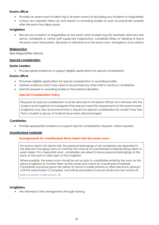## **Exams officer**

- Provides an exam room incident log in all exam rooms for recording any incidents or irregularities
- Actions any required follow-up and reports to awarding bodies as soon as practically possible after the exam has taken place

## **Invigilators**

Record any incidents or irregularities on the exam room incident log (for example, late/very late arrival, candidate or centre staff suspected malpractice, candidate illness or needing to leave the exam room temporarily, disruption or disturbance in the exam room, emergency evacuation)

## <span id="page-26-0"></span>**Malpractice**

See *Irregularities* above.

## <span id="page-26-1"></span>**Special consideration**

## **Senior Leaders**

• Provide signed evidence to support eligible applications for special consideration

## **Exams officer**

- Processes eligible applications for special consideration to awarding bodies
- Gathers evidence which may need to be provided by other staff in centre or candidates
- <span id="page-26-2"></span>Submits requests to awarding bodies to the external deadline

## **Special Consideration Policy**

*Requests for special consideration must be directed to the Exams Officer who will liaise with the student and invigilators to investigate if the request meets the requirements of the exam boards. Invigilators may also recommend that a request for special consideration be made if they feel that a student or group of students have been disadvantaged.*

## **Candidates**

• Provide appropriate evidence to support special consideration requests, where required

## <span id="page-26-4"></span><span id="page-26-3"></span>**Unauthorised materials**

## **Arrangements for unauthorised items taken into the exam room**

For exams held in the Sports Hall, the personal belongings of all candidates are deposited in *the relevant changing rooms to minimise the chance of unauthorised materials being taken to exam desks. If in a separate room, candidates are asked to leave personal belongings at the back of the room in clear sight of the invigilator.* 

*Where possible, the exam room should be set up prior to candidates entering the room as this allows invigilators to monitor them as they enter and check for unauthorised materials. Candidates should be given the option to hand in mobile phones or other electronic devices until the examination is complete, and will be prompted to ensure all devices are turned off.*

Refer for prompt to [ICE](http://www.jcq.org.uk/exams-office/ice---instructions-for-conducting-examinations) (section 18)

## **Invigilators**

• Are informed of the arrangements through training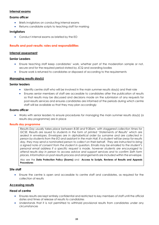## <span id="page-27-0"></span>**Internal exams**

## **Exams officer**

- Briefs invigilators on conducting internal exams
- Returns candidate scripts to teaching staff for marking

## **Invigilators**

• Conduct internal exams as briefed by the EO

## <span id="page-27-1"></span>**Results and post-results: roles and responsibilities**

## <span id="page-27-2"></span>**Internal assessment**

#### **Senior Leaders**

- Ensure teaching staff keep candidates' work, whether part of the moderation sample or not, secure and for the required period stated by JCQ and awarding bodies
- Ensure work is returned to candidates or disposed of according to the requirements

## <span id="page-27-3"></span>**Managing results day(s)**

#### **Senior leaders**

- Identify centre staff who will be involved in the main summer results day(s) and their role
- Ensures senior members of staff are accessible to candidates after the publication of results so that results may be discussed and decisions made on the submission of any requests for post-results services and ensures candidates are informed of the periods during which centre staff will be available so that they may plan accordingly

## **Exams officer**

• Works with senior leaders to ensure procedures for managing the main summer results day(s) (a results day programme) are in place

#### <span id="page-27-4"></span>**Results day programme**

*Results Day usually takes place between 8:30 and 9:30am, with staggered collection times for GCSE. Results are issued to students in the form of printed 'Statements of Results' which are sealed in envelopes. Envelopes are in alphabetical order by surname and are collected in person by students from the EO and assistant in the main Hall. If a student will be away for results*  day, they may send a nominated person to collect on their behalf. They are instructed to bring *a signed note of consent from the student in question. Emails may be emailed to the student's personal email address if a specific request is made, however students are encouraged to attend results day in person to access advice and support services and to confirm Sixth form places. Information on post-results process and arrangements are included within the envelope.* 

Also see the **Data Protection Policy (Exams)** and **Access to Scripts, Reviews of Results and Appeals Procedures**

#### **Site staff**

• Ensure the centre is open and accessible to centre staff and candidates, as required for the collection of results

## <span id="page-27-5"></span>**Accessing results**

## **Head of centre**

- Ensures results are kept entirely confidential and restricted to key members of staff until the official dates and times of release of results to candidates
- Understands that it is not permitted to withhold provisional results from candidates under any circumstances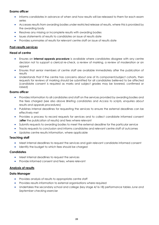## **Exams officer**

- Informs candidates in advance of when and how results will be released to them for each exam series
- Accesses results from awarding bodies under restricted release of results, where this is provided by the awarding body
- Resolves any missing or incomplete results with awarding bodies
- Issues statements of results to candidates on issue of results date
- Provides summaries of results for relevant centre staff on issue of results date

## <span id="page-28-0"></span>**Post-results services**

## **Head of centre**

- Ensures an **internal appeals procedure** is available where candidates disagree with any centre decision not to support a clerical re-check, a review of marking, a review of moderation or an appeal
- Ensures that senior members of centre staff are available immediately after the publication of results
- Understands that if the centre has concerns about one of its component/subject cohorts, then requests for reviews of marking should be submitted for all candidates believed to be affected (candidate consent is required as marks and subject grades may be lowered, confirmed or raised)

## **Exams officer**

- Provides information to all candidates and staff on the services provided by awarding bodies and the fees charged (see also above *Briefing candidates* and *Access to scripts, enquiries about results and appeals procedures*)
- Publishes internal deadlines for requesting the services to ensure the external deadlines can be effectively met
- Provides a process to record requests for services and to collect candidate informed consent (**after** the publication of results) and fees where relevant
- Submits requests to awarding bodies to meet the external deadline for the particular service
- Tracks requests to conclusion and informs candidates and relevant centre staff of outcomes
- Updates centre results information, where applicable

## **Teaching staff**

- Meet internal deadlines to request the services and gain relevant candidate informed consent
- Identify the budget to which fees should be charged

## **Candidates**

- Meet internal deadlines to request the services
- Provide informed consent and fees, where relevant

## <span id="page-28-1"></span>**Analysis of results**

## **Data Manager**

- Provides analysis of results to appropriate centre staff
- Provides results information to external organisations where required
- Undertakes the secondary school and college (key stage 4/16-18) performance tables *June and September checking exercise*